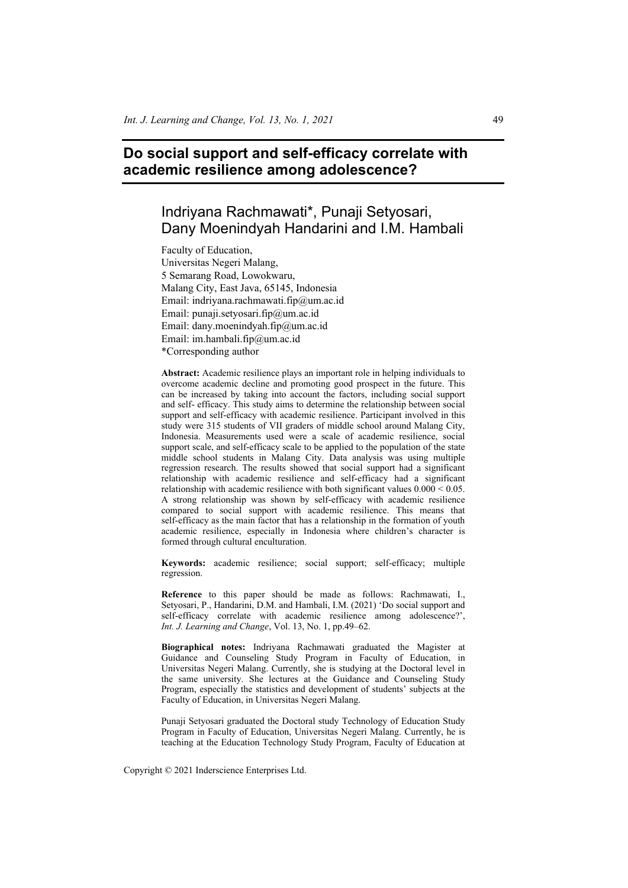# **Do social support and self-efficacy correlate with academic resilience among adolescence?**

# Indriyana Rachmawati\*, Punaji Setyosari, Dany Moenindyah Handarini and I.M. Hambali

Faculty of Education, Universitas Negeri Malang, 5 Semarang Road, Lowokwaru, Malang City, East Java, 65145, Indonesia Email: indriyana.rachmawati.fip@um.ac.id Email: punaji.setyosari.fip@um.ac.id Email: dany.moenindyah.fip@um.ac.id Email: im.hambali.fip@um.ac.id \*Corresponding author

**Abstract:** Academic resilience plays an important role in helping individuals to overcome academic decline and promoting good prospect in the future. This can be increased by taking into account the factors, including social support and self- efficacy. This study aims to determine the relationship between social support and self-efficacy with academic resilience. Participant involved in this study were 315 students of VII graders of middle school around Malang City, Indonesia. Measurements used were a scale of academic resilience, social support scale, and self-efficacy scale to be applied to the population of the state middle school students in Malang City. Data analysis was using multiple regression research. The results showed that social support had a significant relationship with academic resilience and self-efficacy had a significant relationship with academic resilience with both significant values  $0.000 \le 0.05$ . A strong relationship was shown by self-efficacy with academic resilience compared to social support with academic resilience. This means that self-efficacy as the main factor that has a relationship in the formation of youth academic resilience, especially in Indonesia where children's character is formed through cultural enculturation.

**Keywords:** academic resilience; social support; self-efficacy; multiple regression.

**Reference** to this paper should be made as follows: Rachmawati, I., Setyosari, P., Handarini, D.M. and Hambali, I.M. (2021) 'Do social support and self-efficacy correlate with academic resilience among adolescence?', *Int. J. Learning and Change*, Vol. 13, No. 1, pp.49–62.

**Biographical notes:** Indriyana Rachmawati graduated the Magister at Guidance and Counseling Study Program in Faculty of Education, in Universitas Negeri Malang. Currently, she is studying at the Doctoral level in the same university. She lectures at the Guidance and Counseling Study Program, especially the statistics and development of students' subjects at the Faculty of Education, in Universitas Negeri Malang.

Punaji Setyosari graduated the Doctoral study Technology of Education Study Program in Faculty of Education, Universitas Negeri Malang. Currently, he is teaching at the Education Technology Study Program, Faculty of Education at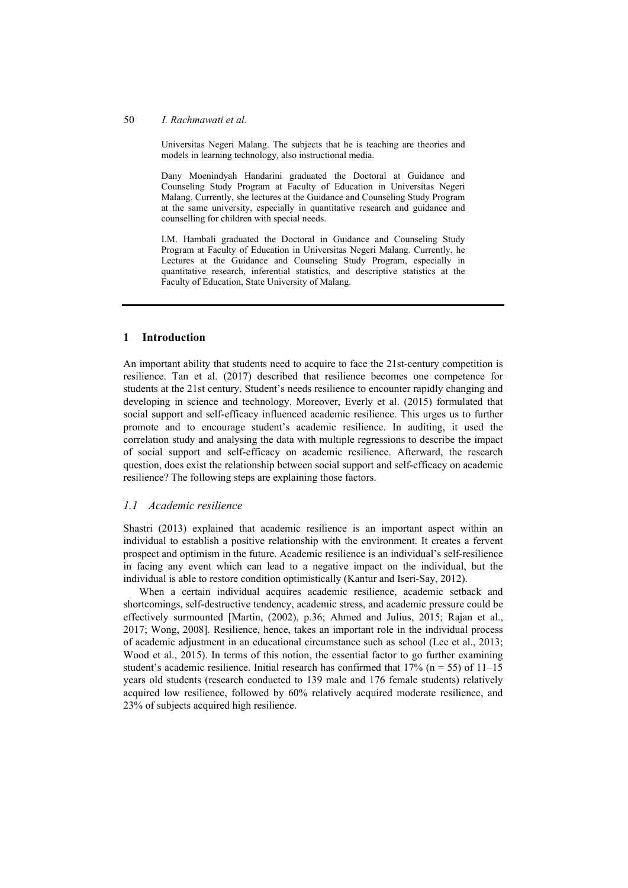#### 50 *I. Rachmawati et al.*

Universitas Negeri Malang. The subjects that he is teaching are theories and models in learning technology, also instructional media.

Dany Moenindyah Handarini graduated the Doctoral at Guidance and Counseling Study Program at Faculty of Education in Universitas Negeri Malang. Currently, she lectures at the Guidance and Counseling Study Program at the same university, especially in quantitative research and guidance and counselling for children with special needs.

I.M. Hambali graduated the Doctoral in Guidance and Counseling Study Program at Faculty of Education in Universitas Negeri Malang. Currently, he Lectures at the Guidance and Counseling Study Program, especially in quantitative research, inferential statistics, and descriptive statistics at the Faculty of Education, State University of Malang.

### **1 Introduction**

An important ability that students need to acquire to face the 21st-century competition is resilience. Tan et al. (2017) described that resilience becomes one competence for students at the 21st century. Student's needs resilience to encounter rapidly changing and developing in science and technology. Moreover, Everly et al. (2015) formulated that social support and self-efficacy influenced academic resilience. This urges us to further promote and to encourage student's academic resilience. In auditing, it used the correlation study and analysing the data with multiple regressions to describe the impact of social support and self-efficacy on academic resilience. Afterward, the research question, does exist the relationship between social support and self-efficacy on academic resilience? The following steps are explaining those factors.

### *1.1 Academic resilience*

Shastri (2013) explained that academic resilience is an important aspect within an individual to establish a positive relationship with the environment. It creates a fervent prospect and optimism in the future. Academic resilience is an individual's self-resilience in facing any event which can lead to a negative impact on the individual, but the individual is able to restore condition optimistically (Kantur and Iseri-Say, 2012).

When a certain individual acquires academic resilience, academic setback and shortcomings, self-destructive tendency, academic stress, and academic pressure could be effectively surmounted [Martin, (2002), p.36; Ahmed and Julius, 2015; Rajan et al., 2017; Wong, 2008]. Resilience, hence, takes an important role in the individual process of academic adjustment in an educational circumstance such as school (Lee et al., 2013; Wood et al., 2015). In terms of this notion, the essential factor to go further examining student's academic resilience. Initial research has confirmed that  $17\%$  (n = 55) of  $11-15$ years old students (research conducted to 139 male and 176 female students) relatively acquired low resilience, followed by 60% relatively acquired moderate resilience, and 23% of subjects acquired high resilience.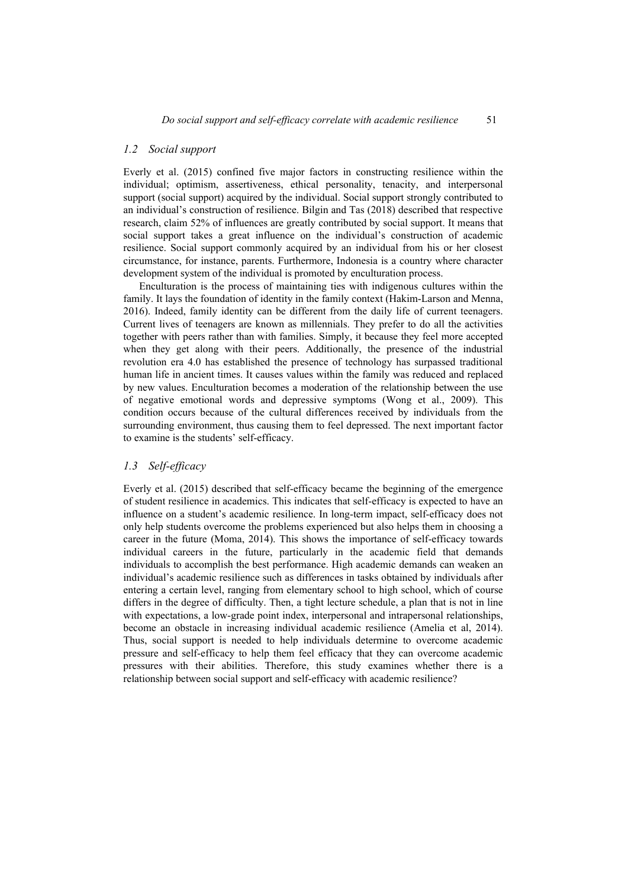#### *1.2 Social support*

Everly et al. (2015) confined five major factors in constructing resilience within the individual; optimism, assertiveness, ethical personality, tenacity, and interpersonal support (social support) acquired by the individual. Social support strongly contributed to an individual's construction of resilience. Bilgin and Tas (2018) described that respective research, claim 52% of influences are greatly contributed by social support. It means that social support takes a great influence on the individual's construction of academic resilience. Social support commonly acquired by an individual from his or her closest circumstance, for instance, parents. Furthermore, Indonesia is a country where character development system of the individual is promoted by enculturation process.

Enculturation is the process of maintaining ties with indigenous cultures within the family. It lays the foundation of identity in the family context (Hakim-Larson and Menna, 2016). Indeed, family identity can be different from the daily life of current teenagers. Current lives of teenagers are known as millennials. They prefer to do all the activities together with peers rather than with families. Simply, it because they feel more accepted when they get along with their peers. Additionally, the presence of the industrial revolution era 4.0 has established the presence of technology has surpassed traditional human life in ancient times. It causes values within the family was reduced and replaced by new values. Enculturation becomes a moderation of the relationship between the use of negative emotional words and depressive symptoms (Wong et al., 2009). This condition occurs because of the cultural differences received by individuals from the surrounding environment, thus causing them to feel depressed. The next important factor to examine is the students' self-efficacy.

#### *1.3 Self-efficacy*

Everly et al. (2015) described that self-efficacy became the beginning of the emergence of student resilience in academics. This indicates that self-efficacy is expected to have an influence on a student's academic resilience. In long-term impact, self-efficacy does not only help students overcome the problems experienced but also helps them in choosing a career in the future (Moma, 2014). This shows the importance of self-efficacy towards individual careers in the future, particularly in the academic field that demands individuals to accomplish the best performance. High academic demands can weaken an individual's academic resilience such as differences in tasks obtained by individuals after entering a certain level, ranging from elementary school to high school, which of course differs in the degree of difficulty. Then, a tight lecture schedule, a plan that is not in line with expectations, a low-grade point index, interpersonal and intrapersonal relationships, become an obstacle in increasing individual academic resilience (Amelia et al, 2014). Thus, social support is needed to help individuals determine to overcome academic pressure and self-efficacy to help them feel efficacy that they can overcome academic pressures with their abilities. Therefore, this study examines whether there is a relationship between social support and self-efficacy with academic resilience?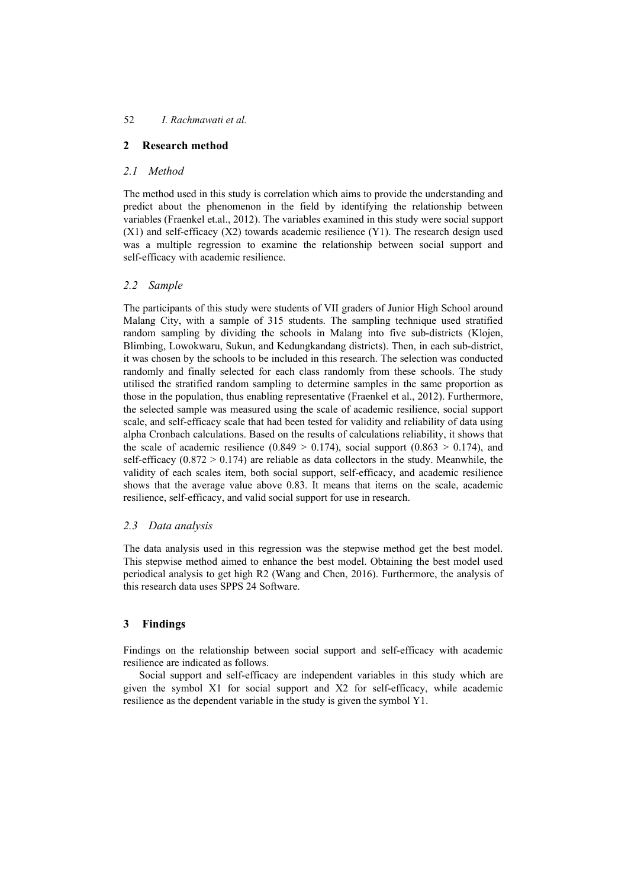# **2 Research method**

# *2.1 Method*

The method used in this study is correlation which aims to provide the understanding and predict about the phenomenon in the field by identifying the relationship between variables (Fraenkel et.al., 2012). The variables examined in this study were social support  $(X1)$  and self-efficacy  $(X2)$  towards academic resilience  $(Y1)$ . The research design used was a multiple regression to examine the relationship between social support and self-efficacy with academic resilience.

# *2.2 Sample*

The participants of this study were students of VII graders of Junior High School around Malang City, with a sample of 315 students. The sampling technique used stratified random sampling by dividing the schools in Malang into five sub-districts (Klojen, Blimbing, Lowokwaru, Sukun, and Kedungkandang districts). Then, in each sub-district, it was chosen by the schools to be included in this research. The selection was conducted randomly and finally selected for each class randomly from these schools. The study utilised the stratified random sampling to determine samples in the same proportion as those in the population, thus enabling representative (Fraenkel et al., 2012). Furthermore, the selected sample was measured using the scale of academic resilience, social support scale, and self-efficacy scale that had been tested for validity and reliability of data using alpha Cronbach calculations. Based on the results of calculations reliability, it shows that the scale of academic resilience  $(0.849 > 0.174)$ , social support  $(0.863 > 0.174)$ , and self-efficacy  $(0.872 \ge 0.174)$  are reliable as data collectors in the study. Meanwhile, the validity of each scales item, both social support, self-efficacy, and academic resilience shows that the average value above 0.83. It means that items on the scale, academic resilience, self-efficacy, and valid social support for use in research.

# *2.3 Data analysis*

The data analysis used in this regression was the stepwise method get the best model. This stepwise method aimed to enhance the best model. Obtaining the best model used periodical analysis to get high R2 (Wang and Chen, 2016). Furthermore, the analysis of this research data uses SPPS 24 Software.

# **3 Findings**

Findings on the relationship between social support and self-efficacy with academic resilience are indicated as follows.

Social support and self-efficacy are independent variables in this study which are given the symbol X1 for social support and X2 for self-efficacy, while academic resilience as the dependent variable in the study is given the symbol Y1.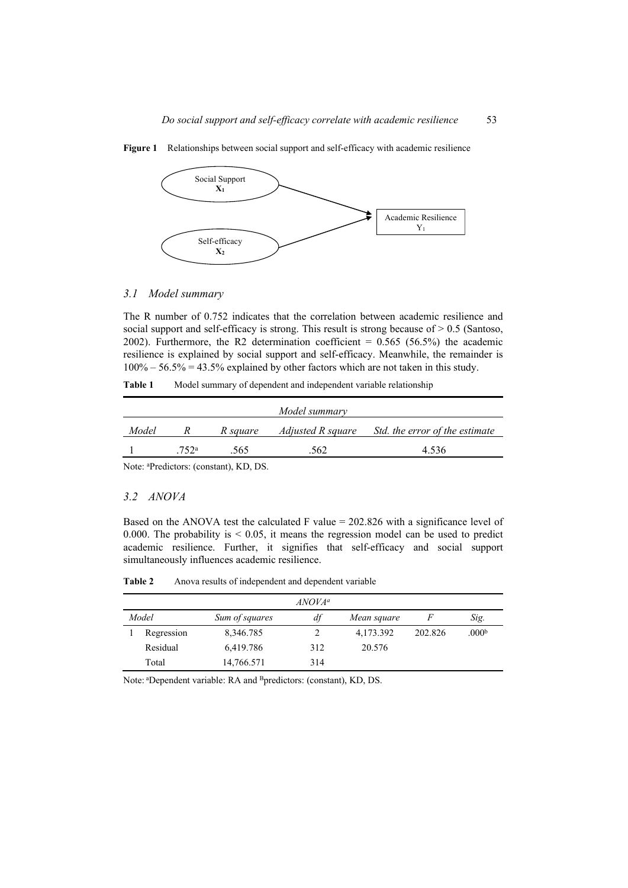

**Figure 1** Relationships between social support and self-efficacy with academic resilience

#### *3.1 Model summary*

The R number of 0.752 indicates that the correlation between academic resilience and social support and self-efficacy is strong. This result is strong because of  $> 0.5$  (Santoso, 2002). Furthermore, the R2 determination coefficient =  $0.565$  (56.5%) the academic resilience is explained by social support and self-efficacy. Meanwhile, the remainder is  $100\% - 56.5\% = 43.5\%$  explained by other factors which are not taken in this study.

Table 1 Model summary of dependent and independent variable relationship

| Adjusted R square<br>Model<br>R square<br>R | Model summary |  |  |  |                                |  |  |  |
|---------------------------------------------|---------------|--|--|--|--------------------------------|--|--|--|
|                                             |               |  |  |  | Std. the error of the estimate |  |  |  |
| 4.536<br>.562.<br>752 <sup>a</sup><br>.565. |               |  |  |  |                                |  |  |  |

Note: aPredictors: (constant), KD, DS.

#### *3.2 ANOVA*

Based on the ANOVA test the calculated F value  $= 202.826$  with a significance level of 0.000. The probability is  $\leq$  0.05, it means the regression model can be used to predict academic resilience. Further, it signifies that self-efficacy and social support simultaneously influences academic resilience.

**Table 2** Anova results of independent and dependent variable

|            |                | $ANOVA^a$ |             |         |                   |
|------------|----------------|-----------|-------------|---------|-------------------|
| Model      | Sum of squares | df        | Mean square |         | Sig.              |
| Regression | 8,346.785      |           | 4,173.392   | 202.826 | .000 <sup>b</sup> |
| Residual   | 6,419.786      | 312       | 20.576      |         |                   |
| Total      | 14,766.571     | 314       |             |         |                   |

Note: aDependent variable: RA and Bpredictors: (constant), KD, DS.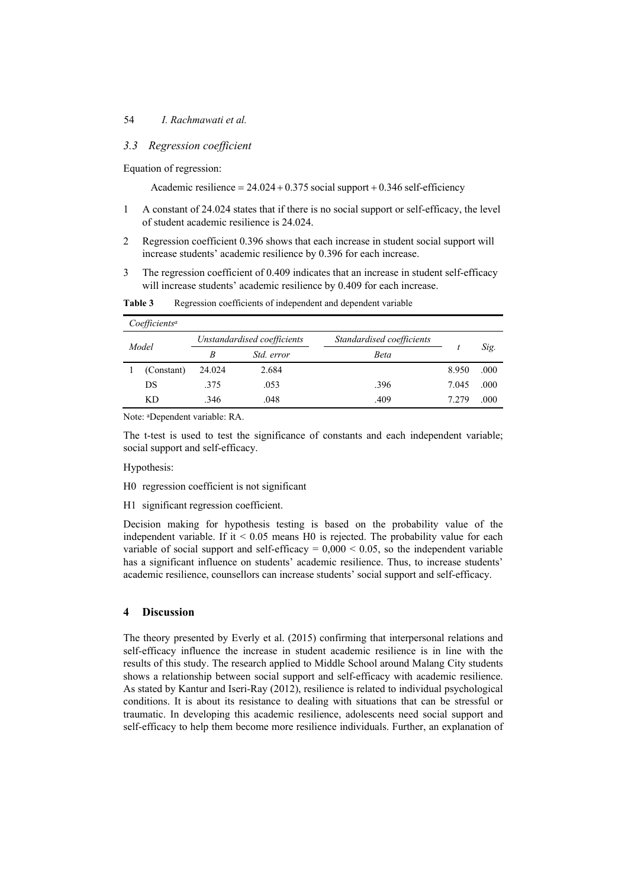## 54 *I. Rachmawati et al.*

## *3.3 Regression coefficient*

Equation of regression:

Academic resilience  $= 24.024 + 0.375$  social support  $+ 0.346$  self-efficiency

- 1 A constant of 24.024 states that if there is no social support or self-efficacy, the level of student academic resilience is 24.024.
- 2 Regression coefficient 0.396 shows that each increase in student social support will increase students' academic resilience by 0.396 for each increase.
- 3 The regression coefficient of 0.409 indicates that an increase in student self-efficacy will increase students' academic resilience by 0.409 for each increase.

| Coefficients <sup>a</sup> |            |                             |                   |                           |       |      |  |
|---------------------------|------------|-----------------------------|-------------------|---------------------------|-------|------|--|
| Model                     |            | Unstandardised coefficients |                   | Standardised coefficients |       |      |  |
|                           |            | R                           | <i>Std. error</i> | Beta                      |       | Sig. |  |
|                           | (Constant) | 24.024                      | 2.684             |                           | 8.950 | .000 |  |
|                           | DS         | .375                        | .053              | .396                      | 7.045 | .000 |  |
|                           | <b>KD</b>  | .346                        | .048              | .409                      | 7.279 | .000 |  |

**Table 3** Regression coefficients of independent and dependent variable

Note: aDependent variable: RA.

The t-test is used to test the significance of constants and each independent variable; social support and self-efficacy.

Hypothesis:

- H0 regression coefficient is not significant
- H1 significant regression coefficient.

Decision making for hypothesis testing is based on the probability value of the independent variable. If it  $\leq 0.05$  means H0 is rejected. The probability value for each variable of social support and self-efficacy  $= 0,000 < 0.05$ , so the independent variable has a significant influence on students' academic resilience. Thus, to increase students' academic resilience, counsellors can increase students' social support and self-efficacy.

## **4 Discussion**

The theory presented by Everly et al. (2015) confirming that interpersonal relations and self-efficacy influence the increase in student academic resilience is in line with the results of this study. The research applied to Middle School around Malang City students shows a relationship between social support and self-efficacy with academic resilience. As stated by Kantur and Iseri-Ray (2012), resilience is related to individual psychological conditions. It is about its resistance to dealing with situations that can be stressful or traumatic. In developing this academic resilience, adolescents need social support and self-efficacy to help them become more resilience individuals. Further, an explanation of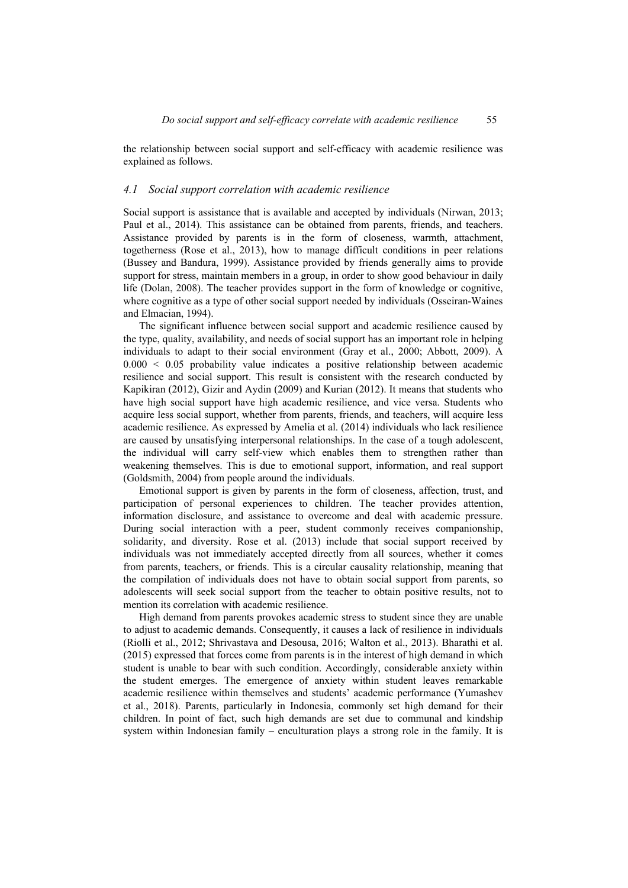the relationship between social support and self-efficacy with academic resilience was explained as follows.

#### *4.1 Social support correlation with academic resilience*

Social support is assistance that is available and accepted by individuals (Nirwan, 2013; Paul et al., 2014). This assistance can be obtained from parents, friends, and teachers. Assistance provided by parents is in the form of closeness, warmth, attachment, togetherness (Rose et al., 2013), how to manage difficult conditions in peer relations (Bussey and Bandura, 1999). Assistance provided by friends generally aims to provide support for stress, maintain members in a group, in order to show good behaviour in daily life (Dolan, 2008). The teacher provides support in the form of knowledge or cognitive, where cognitive as a type of other social support needed by individuals (Osseiran-Waines and Elmacian, 1994).

The significant influence between social support and academic resilience caused by the type, quality, availability, and needs of social support has an important role in helping individuals to adapt to their social environment (Gray et al., 2000; Abbott, 2009). A  $0.000 \leq 0.05$  probability value indicates a positive relationship between academic resilience and social support. This result is consistent with the research conducted by Kapikiran (2012), Gizir and Aydin (2009) and Kurian (2012). It means that students who have high social support have high academic resilience, and vice versa. Students who acquire less social support, whether from parents, friends, and teachers, will acquire less academic resilience. As expressed by Amelia et al. (2014) individuals who lack resilience are caused by unsatisfying interpersonal relationships. In the case of a tough adolescent, the individual will carry self-view which enables them to strengthen rather than weakening themselves. This is due to emotional support, information, and real support (Goldsmith, 2004) from people around the individuals.

Emotional support is given by parents in the form of closeness, affection, trust, and participation of personal experiences to children. The teacher provides attention, information disclosure, and assistance to overcome and deal with academic pressure. During social interaction with a peer, student commonly receives companionship, solidarity, and diversity. Rose et al. (2013) include that social support received by individuals was not immediately accepted directly from all sources, whether it comes from parents, teachers, or friends. This is a circular causality relationship, meaning that the compilation of individuals does not have to obtain social support from parents, so adolescents will seek social support from the teacher to obtain positive results, not to mention its correlation with academic resilience.

High demand from parents provokes academic stress to student since they are unable to adjust to academic demands. Consequently, it causes a lack of resilience in individuals (Riolli et al., 2012; Shrivastava and Desousa, 2016; Walton et al., 2013). Bharathi et al. (2015) expressed that forces come from parents is in the interest of high demand in which student is unable to bear with such condition. Accordingly, considerable anxiety within the student emerges. The emergence of anxiety within student leaves remarkable academic resilience within themselves and students' academic performance (Yumashev et al., 2018). Parents, particularly in Indonesia, commonly set high demand for their children. In point of fact, such high demands are set due to communal and kindship system within Indonesian family – enculturation plays a strong role in the family. It is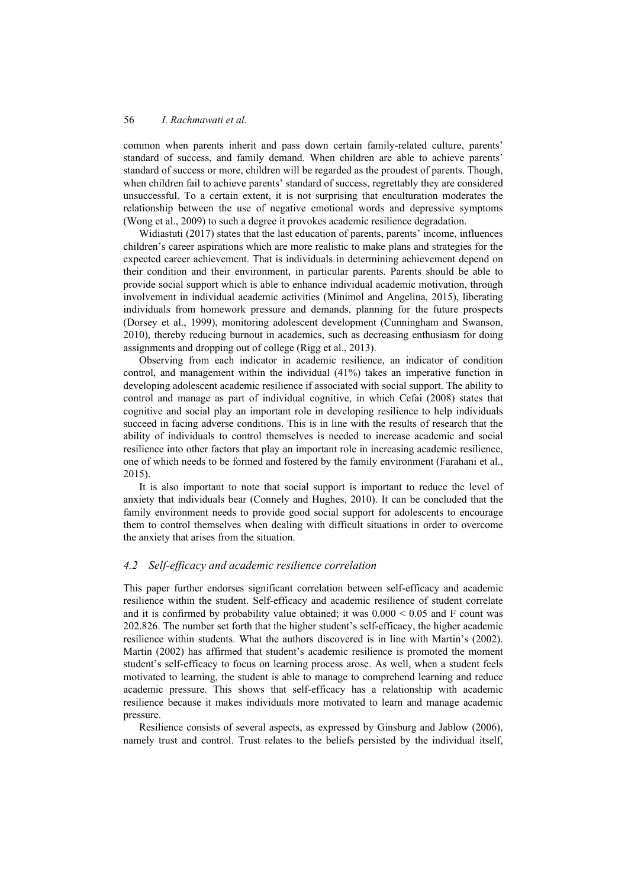common when parents inherit and pass down certain family-related culture, parents' standard of success, and family demand. When children are able to achieve parents' standard of success or more, children will be regarded as the proudest of parents. Though, when children fail to achieve parents' standard of success, regrettably they are considered unsuccessful. To a certain extent, it is not surprising that enculturation moderates the relationship between the use of negative emotional words and depressive symptoms (Wong et al., 2009) to such a degree it provokes academic resilience degradation.

Widiastuti (2017) states that the last education of parents, parents' income, influences children's career aspirations which are more realistic to make plans and strategies for the expected career achievement. That is individuals in determining achievement depend on their condition and their environment, in particular parents. Parents should be able to provide social support which is able to enhance individual academic motivation, through involvement in individual academic activities (Minimol and Angelina, 2015), liberating individuals from homework pressure and demands, planning for the future prospects (Dorsey et al., 1999), monitoring adolescent development (Cunningham and Swanson, 2010), thereby reducing burnout in academics, such as decreasing enthusiasm for doing assignments and dropping out of college (Rigg et al., 2013).

Observing from each indicator in academic resilience, an indicator of condition control, and management within the individual (41%) takes an imperative function in developing adolescent academic resilience if associated with social support. The ability to control and manage as part of individual cognitive, in which Cefai (2008) states that cognitive and social play an important role in developing resilience to help individuals succeed in facing adverse conditions. This is in line with the results of research that the ability of individuals to control themselves is needed to increase academic and social resilience into other factors that play an important role in increasing academic resilience, one of which needs to be formed and fostered by the family environment (Farahani et al., 2015).

It is also important to note that social support is important to reduce the level of anxiety that individuals bear (Connely and Hughes, 2010). It can be concluded that the family environment needs to provide good social support for adolescents to encourage them to control themselves when dealing with difficult situations in order to overcome the anxiety that arises from the situation.

### *4.2 Self-efficacy and academic resilience correlation*

This paper further endorses significant correlation between self-efficacy and academic resilience within the student. Self-efficacy and academic resilience of student correlate and it is confirmed by probability value obtained; it was  $0.000 \le 0.05$  and F count was 202.826. The number set forth that the higher student's self-efficacy, the higher academic resilience within students. What the authors discovered is in line with Martin's (2002). Martin (2002) has affirmed that student's academic resilience is promoted the moment student's self-efficacy to focus on learning process arose. As well, when a student feels motivated to learning, the student is able to manage to comprehend learning and reduce academic pressure. This shows that self-efficacy has a relationship with academic resilience because it makes individuals more motivated to learn and manage academic pressure.

Resilience consists of several aspects, as expressed by Ginsburg and Jablow (2006), namely trust and control. Trust relates to the beliefs persisted by the individual itself,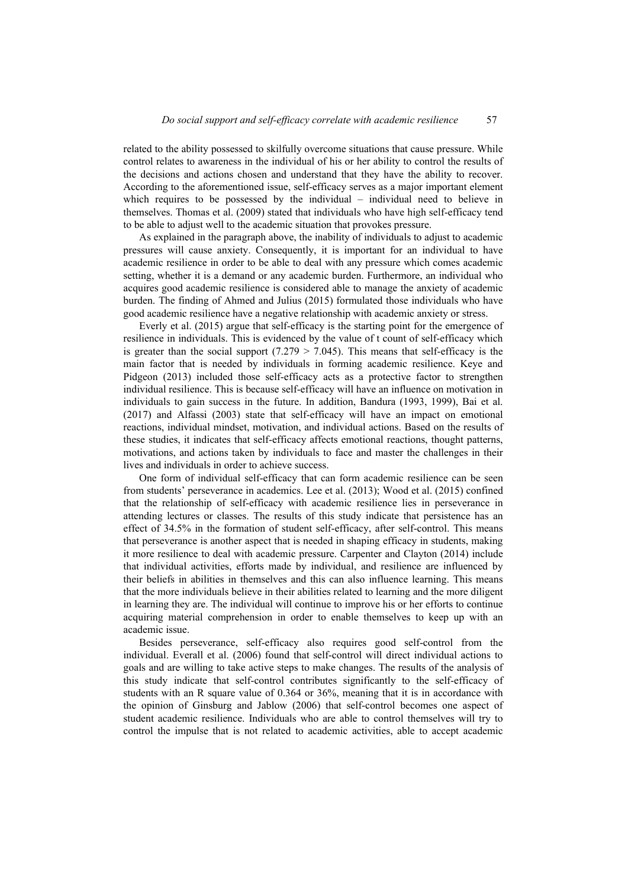related to the ability possessed to skilfully overcome situations that cause pressure. While control relates to awareness in the individual of his or her ability to control the results of the decisions and actions chosen and understand that they have the ability to recover. According to the aforementioned issue, self-efficacy serves as a major important element which requires to be possessed by the individual – individual need to believe in themselves. Thomas et al. (2009) stated that individuals who have high self-efficacy tend to be able to adjust well to the academic situation that provokes pressure.

As explained in the paragraph above, the inability of individuals to adjust to academic pressures will cause anxiety. Consequently, it is important for an individual to have academic resilience in order to be able to deal with any pressure which comes academic setting, whether it is a demand or any academic burden. Furthermore, an individual who acquires good academic resilience is considered able to manage the anxiety of academic burden. The finding of Ahmed and Julius (2015) formulated those individuals who have good academic resilience have a negative relationship with academic anxiety or stress.

Everly et al. (2015) argue that self-efficacy is the starting point for the emergence of resilience in individuals. This is evidenced by the value of t count of self-efficacy which is greater than the social support  $(7.279 \ge 7.045)$ . This means that self-efficacy is the main factor that is needed by individuals in forming academic resilience. Keye and Pidgeon (2013) included those self-efficacy acts as a protective factor to strengthen individual resilience. This is because self-efficacy will have an influence on motivation in individuals to gain success in the future. In addition, Bandura (1993, 1999), Bai et al. (2017) and Alfassi (2003) state that self-efficacy will have an impact on emotional reactions, individual mindset, motivation, and individual actions. Based on the results of these studies, it indicates that self-efficacy affects emotional reactions, thought patterns, motivations, and actions taken by individuals to face and master the challenges in their lives and individuals in order to achieve success.

One form of individual self-efficacy that can form academic resilience can be seen from students' perseverance in academics. Lee et al. (2013); Wood et al. (2015) confined that the relationship of self-efficacy with academic resilience lies in perseverance in attending lectures or classes. The results of this study indicate that persistence has an effect of 34.5% in the formation of student self-efficacy, after self-control. This means that perseverance is another aspect that is needed in shaping efficacy in students, making it more resilience to deal with academic pressure. Carpenter and Clayton (2014) include that individual activities, efforts made by individual, and resilience are influenced by their beliefs in abilities in themselves and this can also influence learning. This means that the more individuals believe in their abilities related to learning and the more diligent in learning they are. The individual will continue to improve his or her efforts to continue acquiring material comprehension in order to enable themselves to keep up with an academic issue.

Besides perseverance, self-efficacy also requires good self-control from the individual. Everall et al. (2006) found that self-control will direct individual actions to goals and are willing to take active steps to make changes. The results of the analysis of this study indicate that self-control contributes significantly to the self-efficacy of students with an R square value of 0.364 or 36%, meaning that it is in accordance with the opinion of Ginsburg and Jablow (2006) that self-control becomes one aspect of student academic resilience. Individuals who are able to control themselves will try to control the impulse that is not related to academic activities, able to accept academic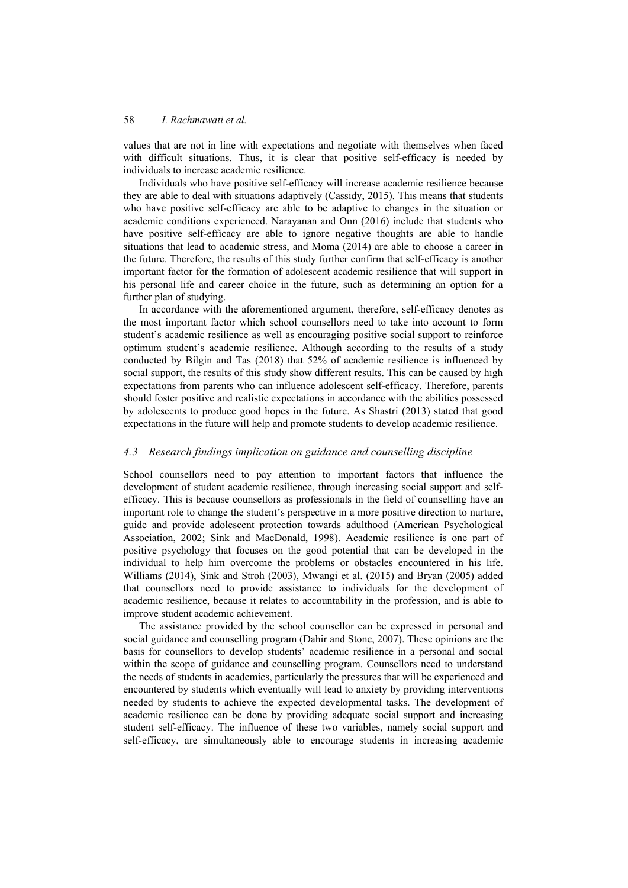values that are not in line with expectations and negotiate with themselves when faced with difficult situations. Thus, it is clear that positive self-efficacy is needed by individuals to increase academic resilience.

Individuals who have positive self-efficacy will increase academic resilience because they are able to deal with situations adaptively (Cassidy, 2015). This means that students who have positive self-efficacy are able to be adaptive to changes in the situation or academic conditions experienced. Narayanan and Onn (2016) include that students who have positive self-efficacy are able to ignore negative thoughts are able to handle situations that lead to academic stress, and Moma (2014) are able to choose a career in the future. Therefore, the results of this study further confirm that self-efficacy is another important factor for the formation of adolescent academic resilience that will support in his personal life and career choice in the future, such as determining an option for a further plan of studying.

In accordance with the aforementioned argument, therefore, self-efficacy denotes as the most important factor which school counsellors need to take into account to form student's academic resilience as well as encouraging positive social support to reinforce optimum student's academic resilience. Although according to the results of a study conducted by Bilgin and Tas (2018) that 52% of academic resilience is influenced by social support, the results of this study show different results. This can be caused by high expectations from parents who can influence adolescent self-efficacy. Therefore, parents should foster positive and realistic expectations in accordance with the abilities possessed by adolescents to produce good hopes in the future. As Shastri (2013) stated that good expectations in the future will help and promote students to develop academic resilience.

### *4.3 Research findings implication on guidance and counselling discipline*

School counsellors need to pay attention to important factors that influence the development of student academic resilience, through increasing social support and selfefficacy. This is because counsellors as professionals in the field of counselling have an important role to change the student's perspective in a more positive direction to nurture, guide and provide adolescent protection towards adulthood (American Psychological Association, 2002; Sink and MacDonald, 1998). Academic resilience is one part of positive psychology that focuses on the good potential that can be developed in the individual to help him overcome the problems or obstacles encountered in his life. Williams (2014), Sink and Stroh (2003), Mwangi et al. (2015) and Bryan (2005) added that counsellors need to provide assistance to individuals for the development of academic resilience, because it relates to accountability in the profession, and is able to improve student academic achievement.

The assistance provided by the school counsellor can be expressed in personal and social guidance and counselling program (Dahir and Stone, 2007). These opinions are the basis for counsellors to develop students' academic resilience in a personal and social within the scope of guidance and counselling program. Counsellors need to understand the needs of students in academics, particularly the pressures that will be experienced and encountered by students which eventually will lead to anxiety by providing interventions needed by students to achieve the expected developmental tasks. The development of academic resilience can be done by providing adequate social support and increasing student self-efficacy. The influence of these two variables, namely social support and self-efficacy, are simultaneously able to encourage students in increasing academic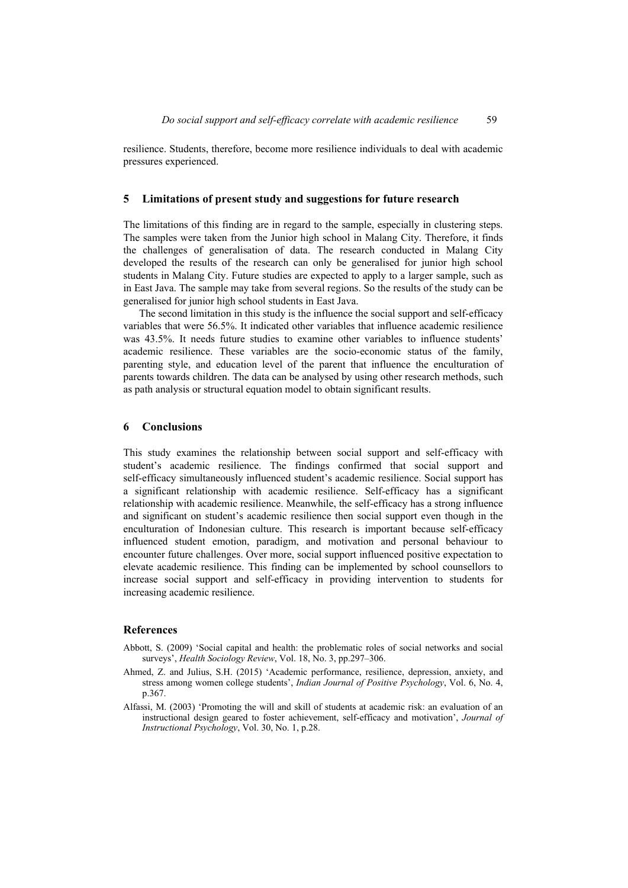resilience. Students, therefore, become more resilience individuals to deal with academic pressures experienced.

#### **5 Limitations of present study and suggestions for future research**

The limitations of this finding are in regard to the sample, especially in clustering steps. The samples were taken from the Junior high school in Malang City. Therefore, it finds the challenges of generalisation of data. The research conducted in Malang City developed the results of the research can only be generalised for junior high school students in Malang City. Future studies are expected to apply to a larger sample, such as in East Java. The sample may take from several regions. So the results of the study can be generalised for junior high school students in East Java.

The second limitation in this study is the influence the social support and self-efficacy variables that were 56.5%. It indicated other variables that influence academic resilience was 43.5%. It needs future studies to examine other variables to influence students' academic resilience. These variables are the socio-economic status of the family, parenting style, and education level of the parent that influence the enculturation of parents towards children. The data can be analysed by using other research methods, such as path analysis or structural equation model to obtain significant results.

#### **6 Conclusions**

This study examines the relationship between social support and self-efficacy with student's academic resilience. The findings confirmed that social support and self-efficacy simultaneously influenced student's academic resilience. Social support has a significant relationship with academic resilience. Self-efficacy has a significant relationship with academic resilience. Meanwhile, the self-efficacy has a strong influence and significant on student's academic resilience then social support even though in the enculturation of Indonesian culture. This research is important because self-efficacy influenced student emotion, paradigm, and motivation and personal behaviour to encounter future challenges. Over more, social support influenced positive expectation to elevate academic resilience. This finding can be implemented by school counsellors to increase social support and self-efficacy in providing intervention to students for increasing academic resilience.

#### **References**

- Abbott, S. (2009) 'Social capital and health: the problematic roles of social networks and social surveys', *Health Sociology Review*, Vol. 18, No. 3, pp.297–306.
- Ahmed, Z. and Julius, S.H. (2015) 'Academic performance, resilience, depression, anxiety, and stress among women college students', *Indian Journal of Positive Psychology*, Vol. 6, No. 4, p.367.
- Alfassi, M. (2003) 'Promoting the will and skill of students at academic risk: an evaluation of an instructional design geared to foster achievement, self-efficacy and motivation', *Journal of Instructional Psychology*, Vol. 30, No. 1, p.28.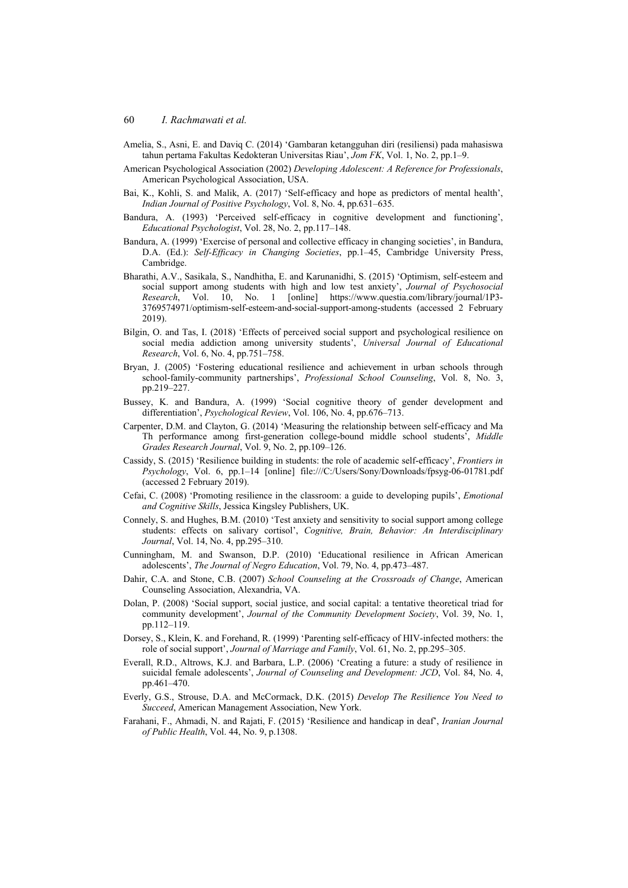- Amelia, S., Asni, E. and Daviq C. (2014) 'Gambaran ketangguhan diri (resiliensi) pada mahasiswa tahun pertama Fakultas Kedokteran Universitas Riau', *Jom FK*, Vol. 1, No. 2, pp.1–9.
- American Psychological Association (2002) *Developing Adolescent: A Reference for Professionals*, American Psychological Association, USA.
- Bai, K., Kohli, S. and Malik, A. (2017) 'Self-efficacy and hope as predictors of mental health', *Indian Journal of Positive Psychology*, Vol. 8, No. 4, pp.631–635.
- Bandura, A. (1993) 'Perceived self-efficacy in cognitive development and functioning', *Educational Psychologist*, Vol. 28, No. 2, pp.117–148.
- Bandura, A. (1999) 'Exercise of personal and collective efficacy in changing societies', in Bandura, D.A. (Ed.): *Self-Efficacy in Changing Societies*, pp.1–45, Cambridge University Press, Cambridge.
- Bharathi, A.V., Sasikala, S., Nandhitha, E. and Karunanidhi, S. (2015) 'Optimism, self-esteem and social support among students with high and low test anxiety', *Journal of Psychosocial Research*, Vol. 10, No. 1 [online] https://www.questia.com/library/journal/1P3- 3769574971/optimism-self-esteem-and-social-support-among-students (accessed 2 February 2019).
- Bilgin, O. and Tas, I. (2018) 'Effects of perceived social support and psychological resilience on social media addiction among university students', *Universal Journal of Educational Research*, Vol. 6, No. 4, pp.751–758.
- Bryan, J. (2005) 'Fostering educational resilience and achievement in urban schools through school-family-community partnerships', *Professional School Counseling*, Vol. 8, No. 3, pp.219–227.
- Bussey, K. and Bandura, A. (1999) 'Social cognitive theory of gender development and differentiation', *Psychological Review*, Vol. 106, No. 4, pp.676–713.
- Carpenter, D.M. and Clayton, G. (2014) 'Measuring the relationship between self-efficacy and Ma Th performance among first-generation college-bound middle school students', *Middle Grades Research Journal*, Vol. 9, No. 2, pp.109–126.
- Cassidy, S. (2015) 'Resilience building in students: the role of academic self-efficacy', *Frontiers in Psychology*, Vol. 6, pp.1–14 [online] file:///C:/Users/Sony/Downloads/fpsyg-06-01781.pdf (accessed 2 February 2019).
- Cefai, C. (2008) 'Promoting resilience in the classroom: a guide to developing pupils', *Emotional and Cognitive Skills*, Jessica Kingsley Publishers, UK.
- Connely, S. and Hughes, B.M. (2010) 'Test anxiety and sensitivity to social support among college students: effects on salivary cortisol', *Cognitive, Brain, Behavior: An Interdisciplinary Journal*, Vol. 14, No. 4, pp.295–310.
- Cunningham, M. and Swanson, D.P. (2010) 'Educational resilience in African American adolescents', *The Journal of Negro Education*, Vol. 79, No. 4, pp.473–487.
- Dahir, C.A. and Stone, C.B. (2007) *School Counseling at the Crossroads of Change*, American Counseling Association, Alexandria, VA.
- Dolan, P. (2008) 'Social support, social justice, and social capital: a tentative theoretical triad for community development', *Journal of the Community Development Society*, Vol. 39, No. 1, pp.112–119.
- Dorsey, S., Klein, K. and Forehand, R. (1999) 'Parenting self-efficacy of HIV-infected mothers: the role of social support', *Journal of Marriage and Family*, Vol. 61, No. 2, pp.295–305.
- Everall, R.D., Altrows, K.J. and Barbara, L.P. (2006) 'Creating a future: a study of resilience in suicidal female adolescents', *Journal of Counseling and Development: JCD*, Vol. 84, No. 4, pp.461–470.
- Everly, G.S., Strouse, D.A. and McCormack, D.K. (2015) *Develop The Resilience You Need to Succeed*, American Management Association, New York.
- Farahani, F., Ahmadi, N. and Rajati, F. (2015) 'Resilience and handicap in deaf', *Iranian Journal of Public Health*, Vol. 44, No. 9, p.1308.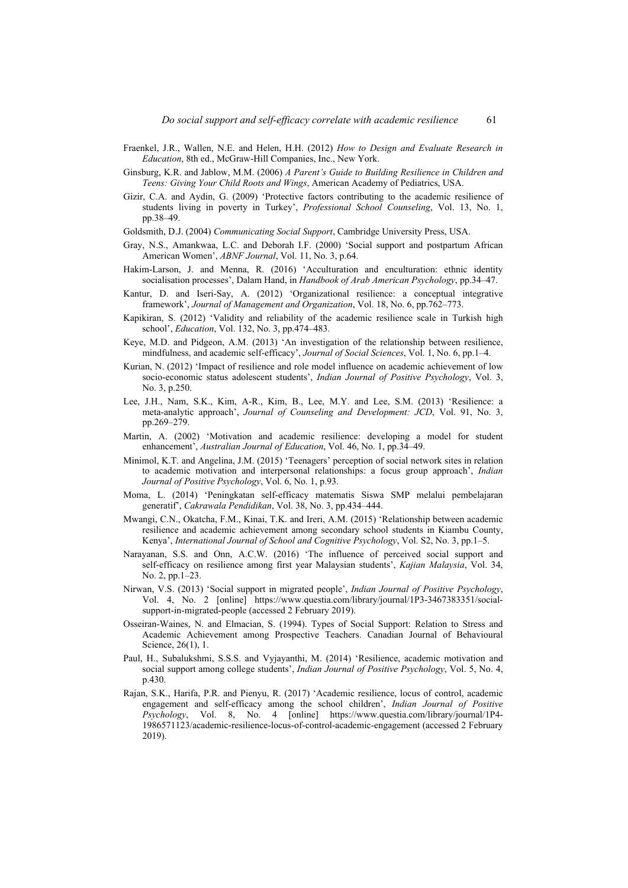- Fraenkel, J.R., Wallen, N.E. and Helen, H.H. (2012) *How to Design and Evaluate Research in Education*, 8th ed., McGraw-Hill Companies, Inc., New York.
- Ginsburg, K.R. and Jablow, M.M. (2006) *A Parent's Guide to Building Resilience in Children and Teens: Giving Your Child Roots and Wings*, American Academy of Pediatrics, USA.
- Gizir, C.A. and Aydin, G. (2009) 'Protective factors contributing to the academic resilience of students living in poverty in Turkey', *Professional School Counseling*, Vol. 13, No. 1, pp.38–49.
- Goldsmith, D.J. (2004) *Communicating Social Support*, Cambridge University Press, USA.
- Gray, N.S., Amankwaa, L.C. and Deborah I.F. (2000) 'Social support and postpartum African American Women', *ABNF Journal*, Vol. 11, No. 3, p.64.
- Hakim-Larson, J. and Menna, R. (2016) 'Acculturation and enculturation: ethnic identity socialisation processes', Dalam Hand, in *Handbook of Arab American Psychology*, pp.34–47.
- Kantur, D. and Iseri-Say, A. (2012) 'Organizational resilience: a conceptual integrative framework', *Journal of Management and Organization*, Vol. 18, No. 6, pp.762–773.
- Kapikiran, S. (2012) 'Validity and reliability of the academic resilience scale in Turkish high school', *Education*, Vol. 132, No. 3, pp.474–483.
- Keye, M.D. and Pidgeon, A.M. (2013) 'An investigation of the relationship between resilience, mindfulness, and academic self-efficacy', *Journal of Social Sciences*, Vol. 1, No. 6, pp.1–4.
- Kurian, N. (2012) 'Impact of resilience and role model influence on academic achievement of low socio-economic status adolescent students', *Indian Journal of Positive Psychology*, Vol. 3, No. 3, p.250.
- Lee, J.H., Nam, S.K., Kim, A-R., Kim, B., Lee, M.Y. and Lee, S.M. (2013) 'Resilience: a meta-analytic approach', *Journal of Counseling and Development: JCD*, Vol. 91, No. 3, pp.269–279.
- Martin, A. (2002) 'Motivation and academic resilience: developing a model for student enhancement', *Australian Journal of Education*, Vol. 46, No. 1, pp.34–49.
- Minimol, K.T. and Angelina, J.M. (2015) 'Teenagers' perception of social network sites in relation to academic motivation and interpersonal relationships: a focus group approach', *Indian Journal of Positive Psychology*, Vol. 6, No. 1, p.93.
- Moma, L. (2014) 'Peningkatan self-efficacy matematis Siswa SMP melalui pembelajaran generatif', *Cakrawala Pendidikan*, Vol. 38, No. 3, pp.434–444.
- Mwangi, C.N., Okatcha, F.M., Kinai, T.K. and Ireri, A.M. (2015) 'Relationship between academic resilience and academic achievement among secondary school students in Kiambu County, Kenya', *International Journal of School and Cognitive Psychology*, Vol. S2, No. 3, pp.1–5.
- Narayanan, S.S. and Onn, A.C.W. (2016) 'The influence of perceived social support and self-efficacy on resilience among first year Malaysian students', *Kajian Malaysia*, Vol. 34, No. 2, pp.1–23.
- Nirwan, V.S. (2013) 'Social support in migrated people', *Indian Journal of Positive Psychology*, Vol. 4, No. 2 [online] https://www.questia.com/library/journal/1P3-3467383351/socialsupport-in-migrated-people (accessed 2 February 2019).
- Osseiran-Waines, N. and Elmacian, S. (1994). Types of Social Support: Relation to Stress and Academic Achievement among Prospective Teachers. Canadian Journal of Behavioural Science, 26(1), 1.
- Paul, H., Subalukshmi, S.S.S. and Vyjayanthi, M. (2014) 'Resilience, academic motivation and social support among college students', *Indian Journal of Positive Psychology*, Vol. 5, No. 4, p.430.
- Rajan, S.K., Harifa, P.R. and Pienyu, R. (2017) 'Academic resilience, locus of control, academic engagement and self-efficacy among the school children', *Indian Journal of Positive Psychology*, Vol. 8, No. 4 [online] https://www.questia.com/library/journal/1P4- 1986571123/academic-resilience-locus-of-control-academic-engagement (accessed 2 February 2019).